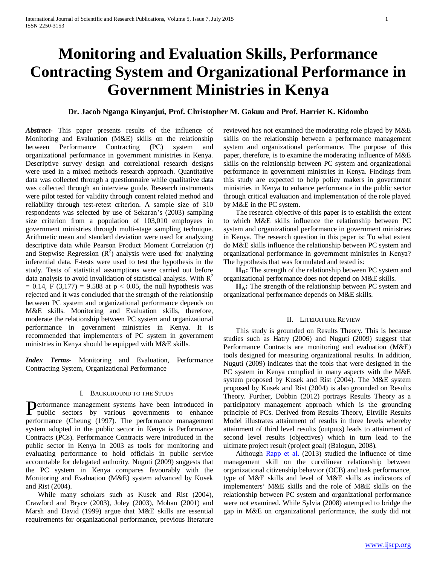# **Monitoring and Evaluation Skills, Performance Contracting System and Organizational Performance in Government Ministries in Kenya**

# **Dr. Jacob Nganga Kinyanjui, Prof. Christopher M. Gakuu and Prof. Harriet K. Kidombo**

*Abstract***-** This paper presents results of the influence of Monitoring and Evaluation (M&E) skills on the relationship between Performance Contracting (PC) system and organizational performance in government ministries in Kenya. Descriptive survey design and correlational research designs were used in a mixed methods research approach. Quantitative data was collected through a questionnaire while qualitative data was collected through an interview guide. Research instruments were pilot tested for validity through content related method and reliability through test-retest criterion. A sample size of 310 respondents was selected by use of Sekaran's (2003) sampling size criterion from a population of 103,010 employees in government ministries through multi-stage sampling technique. Arithmetic mean and standard deviation were used for analyzing descriptive data while Pearson Product Moment Correlation (r) and Stepwise Regression  $(R^2)$  analysis were used for analyzing inferential data. F-tests were used to test the hypothesis in the study. Tests of statistical assumptions were carried out before data analysis to avoid invalidation of statistical analysis. With  $R<sup>2</sup>$  $= 0.14$ , F (3,177) = 9.588 at p < 0.05, the null hypothesis was rejected and it was concluded that the strength of the relationship between PC system and organizational performance depends on M&E skills. Monitoring and Evaluation skills, therefore, moderate the relationship between PC system and organizational performance in government ministries in Kenya. It is recommended that implementers of PC system in government ministries in Kenya should be equipped with M&E skills.

*Index Terms*- Monitoring and Evaluation, Performance Contracting System, Organizational Performance

## I. BACKGROUND TO THE STUDY

**P**erformance management systems have been introduced in public sectors by various governments to enhance public sectors by various governments to enhance performance (Cheung (1997). The performance management system adopted in the public sector in Kenya is Performance Contracts (PCs). Performance Contracts were introduced in the public sector in Kenya in 2003 as tools for monitoring and evaluating performance to hold officials in public service accountable for delegated authority. Nuguti (2009) suggests that the PC system in Kenya compares favourably with the Monitoring and Evaluation (M&E) system advanced by Kusek and Rist (2004).

 While many scholars such as Kusek and Rist (2004), Crawford and Bryce (2003), Joley (2003), Mohan (2001) and Marsh and David (1999) argue that M&E skills are essential requirements for organizational performance, previous literature reviewed has not examined the moderating role played by M&E skills on the relationship between a performance management system and organizational performance. The purpose of this paper, therefore, is to examine the moderating influence of M&E skills on the relationship between PC system and organizational performance in government ministries in Kenya. Findings from this study are expected to help policy makers in government ministries in Kenya to enhance performance in the public sector through critical evaluation and implementation of the role played by M&E in the PC system.

 The research objective of this paper is to establish the extent to which M&E skills influence the relationship between PC system and organizational performance in government ministries in Kenya. The research question in this paper is: To what extent do M&E skills influence the relationship between PC system and organizational performance in government ministries in Kenya? The hypothesis that was formulated and tested is:

H<sub>O</sub>: The strength of the relationship between PC system and organizational performance does not depend on M&E skills.

 **HA:** The strength of the relationship between PC system and organizational performance depends on M&E skills.

# II. LITERATURE REVIEW

 This study is grounded on Results Theory. This is because studies such as Hatry (2006) and Nuguti (2009) suggest that Performance Contracts are monitoring and evaluation (M&E) tools designed for measuring organizational results. In addition, Nuguti (2009) indicates that the tools that were designed in the PC system in Kenya complied in many aspects with the M&E system proposed by Kusek and Rist (2004). The M&E system proposed by Kusek and Rist (2004) is also grounded on Results Theory. Further, Dobbin (2012) portrays Results Theory as a participatory management approach which is the grounding principle of PCs. Derived from Results Theory, Eltville Results Model illustrates attainment of results in three levels whereby attainment of third level results (outputs) leads to attainment of second level results (objectives) which in turn lead to the ultimate project result (project goal) (Balogun, 2008).

 Although [Rapp et al. \(](http://www.ncbi.nlm.nih.gov/pubmed?term=Rapp%20AA%5BAuthor%5D&cauthor=true&cauthor_uid=23379912)2013) studied the influence of time management skill on the curvilinear relationship between organizational citizenship behavior (OCB) and task performance, type of M&E skills and level of M&E skills as indicators of implementers' M&E skills and the role of M&E skills on the relationship between PC system and organizational performance were not examined. While Sylvia (2008) attempted to bridge the gap in M&E on organizational performance, the study did not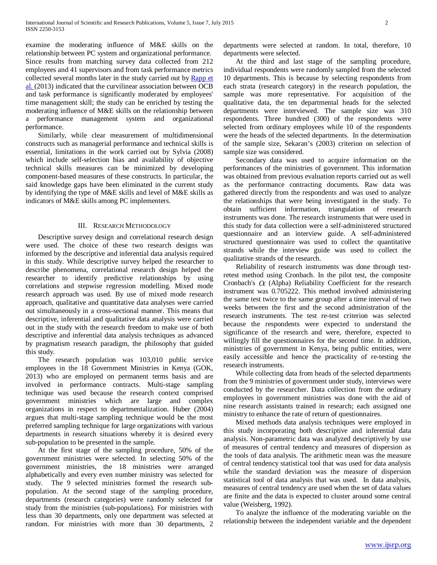examine the moderating influence of M&E skills on the relationship between PC system and organizational performance. Since results from matching survey data collected from 212 employees and 41 supervisors and from task performance metrics collected several months later in the study carried out b[y Rapp et](http://www.ncbi.nlm.nih.gov/pubmed?term=Rapp%20AA%5BAuthor%5D&cauthor=true&cauthor_uid=23379912)  [al. \(](http://www.ncbi.nlm.nih.gov/pubmed?term=Rapp%20AA%5BAuthor%5D&cauthor=true&cauthor_uid=23379912)2013) indicated that the curvilinear association between OCB and task performance is significantly moderated by employees' time management skill; the study can be enriched by testing the moderating influence of M&E skills on the relationship between a performance management system and organizational performance.

 Similarly, while clear measurement of multidimensional constructs such as managerial performance and technical skills is essential, limitations in the work carried out by Sylvia (2008) which include self-selection bias and availability of objective technical skills measures can be minimized by developing component-based measures of these constructs. In particular, the said knowledge gaps have been eliminated in the current study by identifying the type of M&E skills and level of M&E skills as indicators of M&E skills among PC implementers.

# III. RESEARCH METHODOLOGY

 Descriptive survey design and correlational research design were used. The choice of these two research designs was informed by the descriptive and inferential data analysis required in this study. While descriptive survey helped the researcher to describe phenomena, correlational research design helped the researcher to identify predictive relationships by using correlations and stepwise regression modelling. Mixed mode research approach was used. By use of mixed mode research approach, qualitative and quantitative data analyses were carried out simultaneously in a cross-sectional manner. This means that descriptive, inferential and qualitative data analysis were carried out in the study with the research freedom to make use of both descriptive and inferential data analysis techniques as advanced by pragmatism research paradigm, the philosophy that guided this study.

 The research population was 103,010 public service employees in the 18 Government Ministries in Kenya (GOK, 2013) who are employed on permanent terms basis and are involved in performance contracts. Multi-stage sampling technique was used because the research context comprised government ministries which are large and complex organizations in respect to departmentalization. Huber (2004) argues that multi-stage sampling technique would be the most preferred sampling technique for large organizations with various departments in research situations whereby it is desired every sub-population to be presented in the sample.

 At the first stage of the sampling procedure, 50% of the government ministries were selected. In selecting 50% of the government ministries, the 18 ministries were arranged alphabetically and every even number ministry was selected for study. The 9 selected ministries formed the research subpopulation. At the second stage of the sampling procedure, departments (research categories) were randomly selected for study from the ministries (sub-populations). For ministries with less than 30 departments, only one department was selected at random. For ministries with more than 30 departments, 2 departments were selected at random. In total, therefore, 10 departments were selected.

 At the third and last stage of the sampling procedure, individual respondents were randomly sampled from the selected 10 departments. This is because by selecting respondents from each strata (research category) in the research population, the sample was more representative. For acquisition of the qualitative data, the ten departmental heads for the selected departments were interviewed. The sample size was 310 respondents. Three hundred (300) of the respondents were selected from ordinary employees while 10 of the respondents were the heads of the selected departments. In the determination of the sample size, Sekaran's (2003) criterion on selection of sample size was considered.

 Secondary data was used to acquire information on the performances of the ministries of government. This information was obtained from previous evaluation reports carried out as well as the performance contracting documents. Raw data was gathered directly from the respondents and was used to analyze the relationships that were being investigated in the study. To obtain sufficient information, triangulation of research instruments was done. The research instruments that were used in this study for data collection were a self-administered structured questionnaire and an interview guide. A self-administered structured questionnaire was used to collect the quantitative strands while the interview guide was used to collect the qualitative strands of the research.

 Reliability of research instruments was done through testretest method using Cronbach. In the pilot test, the composite Cronbach's  $\alpha$  (Alpha) Reliability Coefficient for the research instrument was 0.705222. This method involved administering the same test twice to the same group after a time interval of two weeks between the first and the second administration of the research instruments. The test re-test criterion was selected because the respondents were expected to understand the significance of the research and were, therefore, expected to willingly fill the questionnaires for the second time. In addition, ministries of government in Kenya, being public entities, were easily accessible and hence the practicality of re-testing the research instruments.

 While collecting data from heads of the selected departments from the 9 ministries of government under study, interviews were conducted by the researcher. Data collection from the ordinary employees in government ministries was done with the aid of nine research assistants trained in research; each assigned one ministry to enhance the rate of return of questionnaires.

 Mixed methods data analysis techniques were employed in this study incorporating both descriptive and inferential data analysis. Non-parametric data was analyzed descriptively by use of measures of central tendency and measures of dispersion as the tools of data analysis. The arithmetic mean was the measure of central tendency statistical tool that was used for data analysis while the standard deviation was the measure of dispersion statistical tool of data analysis that was used. In data analysis, measures of central tendency are used when the set of data values are finite and the data is expected to cluster around some central value (Weisberg, 1992).

 To analyze the influence of the moderating variable on the relationship between the independent variable and the dependent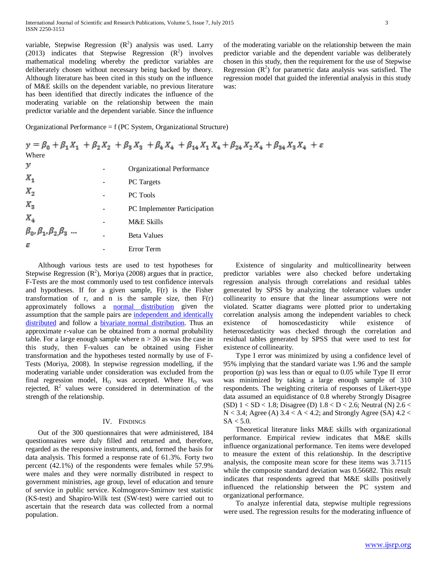variable, Stepwise Regression  $(R^2)$  analysis was used. Larry (2013) indicates that Stepwise Regression  $(R^2)$  involves mathematical modeling whereby the predictor variables are deliberately chosen without necessary being backed by theory. Although literature has been cited in this study on the influence of M&E skills on the dependent variable, no previous literature has been identified that directly indicates the influence of the moderating variable on the relationship between the main predictor variable and the dependent variable. Since the influence

Organizational Performance = f (PC System, Organizational Structure)

|                                      | $y = \beta_0 + \beta_1 X_1 + \beta_2 X_2 + \beta_3 X_3 + \beta_4 X_4 + \beta_{14} X_1 X_4 + \beta_{24} X_2 X_4 + \beta_{34} X_3 X_4 + \varepsilon$ |
|--------------------------------------|----------------------------------------------------------------------------------------------------------------------------------------------------|
| Where                                |                                                                                                                                                    |
| у                                    | Organizational Performance                                                                                                                         |
| $X_{1}$                              | <b>PC</b> Targets                                                                                                                                  |
| $X_{2}$                              | <b>PC</b> Tools                                                                                                                                    |
| $X_{\mathcal{R}}$                    | PC Implementer Participation                                                                                                                       |
| $X_{4}$                              | M&E Skills                                                                                                                                         |
| $\beta_0, \beta_1, \beta_2, \beta_3$ | <b>Beta Values</b>                                                                                                                                 |
| ε                                    | Error Term                                                                                                                                         |

was:

 Although various tests are used to test hypotheses for Stepwise Regression  $(R^2)$ , Moriya (2008) argues that in practice, F-Tests are the most commonly used to test confidence intervals and hypotheses. If for a given sample, F(r) is the Fisher transformation of  $r$ , and  $n$  is the sample size, then  $F(r)$ approximately follows a [normal distribution](http://en.wikipedia.org/wiki/Normal_distribution) given the assumption that the sample pairs are [independent and identically](http://en.wikipedia.org/wiki/Independent_and_identically_distributed)  [distributed](http://en.wikipedia.org/wiki/Independent_and_identically_distributed) and follow a [bivariate normal distribution.](http://en.wikipedia.org/wiki/Bivariate_normal_distribution) Thus an approximate r-value can be obtained from a normal probability table. For a large enough sample where  $n > 30$  as was the case in this study, then F-values can be obtained using Fisher transformation and the hypotheses tested normally by use of F-Tests (Moriya, 2008). In stepwise regression modelling, if the moderating variable under consideration was excluded from the final regression model,  $H_0$  was accepted. Where  $H_0$  was rejected,  $R^2$  values were considered in determination of the strength of the relationship.

# IV. FINDINGS

 Out of the 300 questionnaires that were administered, 184 questionnaires were duly filled and returned and, therefore, regarded as the responsive instruments, and, formed the basis for data analysis. This formed a response rate of 61.3%. Forty two percent (42.1%) of the respondents were females while 57.9% were males and they were normally distributed in respect to government ministries, age group, level of education and tenure of service in public service. Kolmogorov-Smirnov test statistic (KS-test) and Shapiro-Wilk test (SW-test) were carried out to ascertain that the research data was collected from a normal population.

 Existence of singularity and multicollinearity between predictor variables were also checked before undertaking regression analysis through correlations and residual tables generated by SPSS by analyzing the tolerance values under collinearity to ensure that the linear assumptions were not violated. Scatter diagrams were plotted prior to undertaking correlation analysis among the independent variables to check existence of homoscedasticity while existence of heteroscedasticity was checked through the correlation and residual tables generated by SPSS that were used to test for existence of collinearity.

of the moderating variable on the relationship between the main predictor variable and the dependent variable was deliberately chosen in this study, then the requirement for the use of Stepwise Regression  $(R^2)$  for parametric data analysis was satisfied. The regression model that guided the inferential analysis in this study

 Type I error was minimized by using a confidence level of 95% implying that the standard variate was 1.96 and the sample proportion (p) was less than or equal to 0.05 while Type II error was minimized by taking a large enough sample of 310 respondents. The weighting criteria of responses of Likert-type data assumed an equidistance of 0.8 whereby Strongly Disagree (SD)  $1 < SD < 1.8$ ; Disagree (D)  $1.8 < D < 2.6$ ; Neutral (N)  $2.6 <$  $N < 3.4$ ; Agree (A)  $3.4 < A < 4.2$ ; and Strongly Agree (SA)  $4.2 <$  $SA < 5.0$ .

 Theoretical literature links M&E skills with organizational performance. Empirical review indicates that M&E skills influence organizational performance. Ten items were developed to measure the extent of this relationship. In the descriptive analysis, the composite mean score for these items was 3.7115 while the composite standard deviation was 0.56682. This result indicates that respondents agreed that M&E skills positively influenced the relationship between the PC system and organizational performance.

 To analyze inferential data, stepwise multiple regressions were used. The regression results for the moderating influence of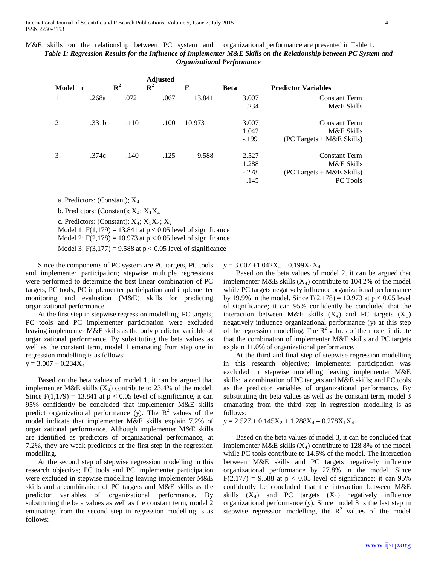M&E skills on the relationship between PC system and organizational performance are presented in Table 1. *Table 1: Regression Results for the Influence of Implementer M&E Skills on the Relationship between PC System and Organizational Performance*

| Model r        |                   | ${\bf R}^2$ | <b>Adjusted</b><br>${\bf R}^2$ | F      | <b>Beta</b> | <b>Predictor Variables</b>  |
|----------------|-------------------|-------------|--------------------------------|--------|-------------|-----------------------------|
|                | .268a             | .072        | .067                           | 13.841 | 3.007       | <b>Constant Term</b>        |
|                |                   |             |                                |        | .234        | M&E Skills                  |
| $\mathfrak{D}$ | .331 <sub>b</sub> | .110        | .100                           | 10.973 | 3.007       | <b>Constant Term</b>        |
|                |                   |             |                                |        | 1.042       | M&E Skills                  |
|                |                   |             |                                |        | $-.199$     | $(PC~Targets + M&E~Skills)$ |
| 3              | .374c             | .140        | .125                           | 9.588  | 2.527       | <b>Constant Term</b>        |
|                |                   |             |                                |        | 1.288       | M&E Skills                  |
|                |                   |             |                                |        | $-.278$     | $(PC~Targets + M&E~Skills)$ |
|                |                   |             |                                |        | .145        | PC Tools                    |

a. Predictors: (Constant); X4

b. Predictors: (Constant);  $X_4$ ;  $X_1X_4$ 

c. Predictors: (Constant);  $X_4$ ;  $X_1X_4$ ;  $X_2$ Model 1:  $F(1,179) = 13.841$  at  $p < 0.05$  level of significance

Model 2:  $F(2,178) = 10.973$  at  $p < 0.05$  level of significance

Model 3:  $F(3,177) = 9.588$  at  $p < 0.05$  level of significance

 Since the components of PC system are PC targets, PC tools and implementer participation; stepwise multiple regressions were performed to determine the best linear combination of PC targets, PC tools, PC implementer participation and implementer monitoring and evaluation (M&E) skills for predicting organizational performance.

 At the first step in stepwise regression modelling; PC targets; PC tools and PC implementer participation were excluded leaving implementer M&E skills as the only predictor variable of organizational performance. By substituting the beta values as well as the constant term, model 1 emanating from step one in regression modelling is as follows:

 $y = 3.007 + 0.234X_4$ 

 Based on the beta values of model 1, it can be argued that implementer M&E skills  $(X_4)$  contribute to 23.4% of the model. Since  $F(1,179) = 13.841$  at  $p < 0.05$  level of significance, it can 95% confidently be concluded that implementer M&E skills predict organizational performance (y). The  $\mathbb{R}^2$  values of the model indicate that implementer M&E skills explain 7.2% of organizational performance. Although implementer M&E skills are identified as predictors of organizational performance; at 7.2%, they are weak predictors at the first step in the regression modelling.

 At the second step of stepwise regression modelling in this research objective; PC tools and PC implementer participation were excluded in stepwise modelling leaving implementer M&E skills and a combination of PC targets and M&E skills as the predictor variables of organizational performance. By substituting the beta values as well as the constant term, model 2 emanating from the second step in regression modelling is as follows:

 $y = 3.007 + 1.042X_4 - 0.199X_1X_4$ 

 Based on the beta values of model 2, it can be argued that implementer M&E skills  $(X_4)$  contribute to 104.2% of the model while PC targets negatively influence organizational performance by 19.9% in the model. Since  $F(2,178) = 10.973$  at  $p < 0.05$  level of significance; it can 95% confidently be concluded that the interaction between M&E skills  $(X_4)$  and PC targets  $(X_1)$ negatively influence organizational performance (y) at this step of the regression modelling. The  $R^2$  values of the model indicate that the combination of implementer M&E skills and PC targets explain 11.0% of organizational performance.

 At the third and final step of stepwise regression modelling in this research objective; implementer participation was excluded in stepwise modelling leaving implementer M&E skills; a combination of PC targets and M&E skills; and PC tools as the predictor variables of organizational performance. By substituting the beta values as well as the constant term, model 3 emanating from the third step in regression modelling is as follows:

 $y = 2.527 + 0.145X_2 + 1.288X_4 - 0.278X_1X_4$ 

 Based on the beta values of model 3, it can be concluded that implementer M&E skills  $(X_4)$  contribute to 128.8% of the model while PC tools contribute to 14.5% of the model. The interaction between M&E skills and PC targets negatively influence organizational performance by 27.8% in the model. Since  $F(2,177) = 9.588$  at  $p < 0.05$  level of significance; it can 95% confidently be concluded that the interaction between M&E skills  $(X_4)$  and PC targets  $(X_1)$  negatively influence organizational performance (y). Since model 3 is the last step in stepwise regression modelling, the  $R^2$  values of the model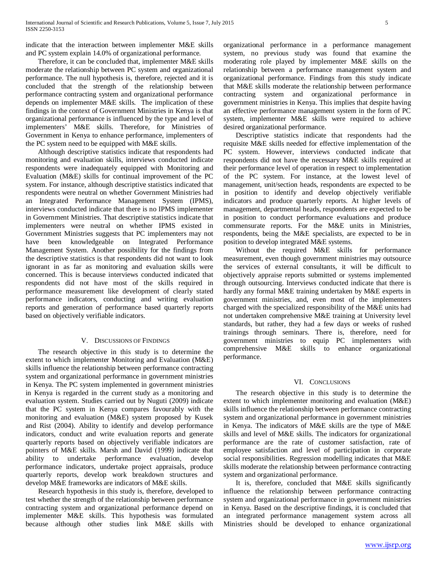indicate that the interaction between implementer M&E skills and PC system explain 14.0% of organizational performance.

 Therefore, it can be concluded that, implementer M&E skills moderate the relationship between PC system and organizational performance. The null hypothesis is, therefore, rejected and it is concluded that the strength of the relationship between performance contracting system and organizational performance depends on implementer M&E skills. The implication of these findings in the context of Government Ministries in Kenya is that organizational performance is influenced by the type and level of implementers' M&E skills. Therefore, for Ministries of Government in Kenya to enhance performance, implementers of the PC system need to be equipped with M&E skills.

 Although descriptive statistics indicate that respondents had monitoring and evaluation skills, interviews conducted indicate respondents were inadequately equipped with Monitoring and Evaluation (M&E) skills for continual improvement of the PC system. For instance, although descriptive statistics indicated that respondents were neutral on whether Government Ministries had an Integrated Performance Management System (IPMS), interviews conducted indicate that there is no IPMS implementer in Government Ministries. That descriptive statistics indicate that implementers were neutral on whether IPMS existed in Government Ministries suggests that PC implementers may not have been knowledgeable on Integrated Performance Management System. Another possibility for the findings from the descriptive statistics is that respondents did not want to look ignorant in as far as monitoring and evaluation skills were concerned. This is because interviews conducted indicated that respondents did not have most of the skills required in performance measurement like development of clearly stated performance indicators, conducting and writing evaluation reports and generation of performance based quarterly reports based on objectively verifiable indicators.

# V. DISCUSSIONS OF FINDINGS

 The research objective in this study is to determine the extent to which implementer Monitoring and Evaluation (M&E) skills influence the relationship between performance contracting system and organizational performance in government ministries in Kenya. The PC system implemented in government ministries in Kenya is regarded in the current study as a monitoring and evaluation system. Studies carried out by Nuguti (2009) indicate that the PC system in Kenya compares favourably with the monitoring and evaluation (M&E) system proposed by Kusek and Rist (2004). Ability to identify and develop performance indicators, conduct and write evaluation reports and generate quarterly reports based on objectively verifiable indicators are pointers of M&E skills. Marsh and David (1999) indicate that ability to undertake performance evaluation, develop performance indicators, undertake project appraisals, produce quarterly reports, develop work breakdown structures and develop M&E frameworks are indicators of M&E skills.

 Research hypothesis in this study is, therefore, developed to test whether the strength of the relationship between performance contracting system and organizational performance depend on implementer M&E skills. This hypothesis was formulated because although other studies link M&E skills with organizational performance in a performance management system, no previous study was found that examine the moderating role played by implementer M&E skills on the relationship between a performance management system and organizational performance. Findings from this study indicate that M&E skills moderate the relationship between performance contracting system and organizational performance in government ministries in Kenya. This implies that despite having an effective performance management system in the form of PC system, implementer M&E skills were required to achieve desired organizational performance.

 Descriptive statistics indicate that respondents had the requisite M&E skills needed for effective implementation of the PC system. However, interviews conducted indicate that respondents did not have the necessary M&E skills required at their performance level of operation in respect to implementation of the PC system. For instance, at the lowest level of management, unit/section heads, respondents are expected to be in position to identify and develop objectively verifiable indicators and produce quarterly reports. At higher levels of management, departmental heads, respondents are expected to be in position to conduct performance evaluations and produce commensurate reports. For the M&E units in Ministries, respondents, being the M&E specialists, are expected to be in position to develop integrated M&E systems.

 Without the required M&E skills for performance measurement, even though government ministries may outsource the services of external consultants, it will be difficult to objectively appraise reports submitted or systems implemented through outsourcing. Interviews conducted indicate that there is hardly any formal M&E training undertaken by M&E experts in government ministries, and, even most of the implementers charged with the specialized responsibility of the M&E units had not undertaken comprehensive M&E training at University level standards, but rather, they had a few days or weeks of rushed trainings through seminars. There is, therefore, need for government ministries to equip PC implementers with comprehensive M&E skills to enhance organizational performance.

# VI. CONCLUSIONS

 The research objective in this study is to determine the extent to which implementer monitoring and evaluation (M&E) skills influence the relationship between performance contracting system and organizational performance in government ministries in Kenya. The indicators of M&E skills are the type of M&E skills and level of M&E skills. The indicators for organizational performance are the rate of customer satisfaction, rate of employee satisfaction and level of participation in corporate social responsibilities. Regression modelling indicates that M&E skills moderate the relationship between performance contracting system and organizational performance.

 It is, therefore, concluded that M&E skills significantly influence the relationship between performance contracting system and organizational performance in government ministries in Kenya. Based on the descriptive findings, it is concluded that an integrated performance management system across all Ministries should be developed to enhance organizational